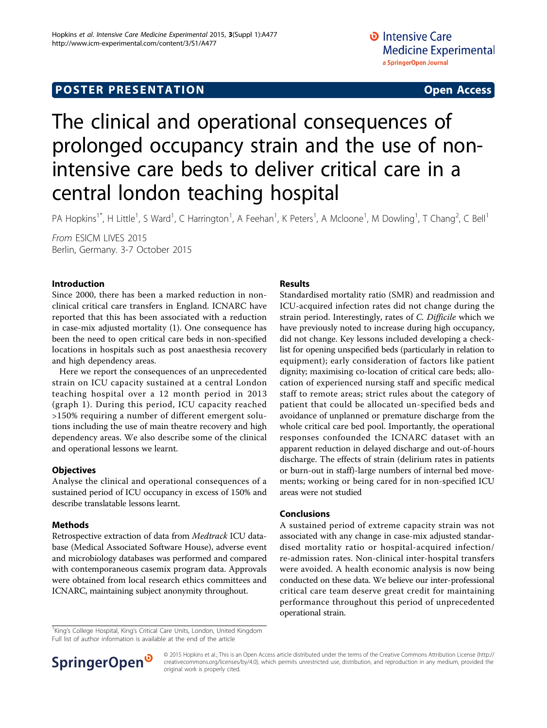# **POSTER PRESENTATION CONSUMING ACCESS**

# The clinical and operational consequences of prolonged occupancy strain and the use of nonintensive care beds to deliver critical care in a central london teaching hospital

PA Hopkins<sup>1\*</sup>, H Little<sup>1</sup>, S Ward<sup>1</sup>, C Harrington<sup>1</sup>, A Feehan<sup>1</sup>, K Peters<sup>1</sup>, A Mcloone<sup>1</sup>, M Dowling<sup>1</sup>, T Chang<sup>2</sup>, C Bell<sup>1</sup>

From ESICM LIVES 2015 Berlin, Germany. 3-7 October 2015

# Introduction

Since 2000, there has been a marked reduction in nonclinical critical care transfers in England. ICNARC have reported that this has been associated with a reduction in case-mix adjusted mortality (1). One consequence has been the need to open critical care beds in non-specified locations in hospitals such as post anaesthesia recovery and high dependency areas.

Here we report the consequences of an unprecedented strain on ICU capacity sustained at a central London teaching hospital over a 12 month period in 2013 (graph 1). During this period, ICU capacity reached >150% requiring a number of different emergent solutions including the use of main theatre recovery and high dependency areas. We also describe some of the clinical and operational lessons we learnt.

# **Objectives**

Analyse the clinical and operational consequences of a sustained period of ICU occupancy in excess of 150% and describe translatable lessons learnt.

# Methods

Retrospective extraction of data from Medtrack ICU database (Medical Associated Software House), adverse event and microbiology databases was performed and compared with contemporaneous casemix program data. Approvals were obtained from local research ethics committees and ICNARC, maintaining subject anonymity throughout.

# Results

Standardised mortality ratio (SMR) and readmission and ICU-acquired infection rates did not change during the strain period. Interestingly, rates of C. Difficile which we have previously noted to increase during high occupancy, did not change. Key lessons included developing a checklist for opening unspecified beds (particularly in relation to equipment); early consideration of factors like patient dignity; maximising co-location of critical care beds; allocation of experienced nursing staff and specific medical staff to remote areas; strict rules about the category of patient that could be allocated un-specified beds and avoidance of unplanned or premature discharge from the whole critical care bed pool. Importantly, the operational responses confounded the ICNARC dataset with an apparent reduction in delayed discharge and out-of-hours discharge. The effects of strain (delirium rates in patients or burn-out in staff)-large numbers of internal bed movements; working or being cared for in non-specified ICU areas were not studied

# Conclusions

A sustained period of extreme capacity strain was not associated with any change in case-mix adjusted standardised mortality ratio or hospital-acquired infection/ re-admission rates. Non-clinical inter-hospital transfers were avoided. A health economic analysis is now being conducted on these data. We believe our inter-professional critical care team deserve great credit for maintaining performance throughout this period of unprecedented operational strain.

<sup>1</sup>King's College Hospital, King's Critical Care Units, London, United Kingdom Full list of author information is available at the end of the article



© 2015 Hopkins et al.; This is an Open Access article distributed under the terms of the Creative Commons Attribution License [\(http://](http://creativecommons.org/licenses/by/4.0) [creativecommons.org/licenses/by/4.0](http://creativecommons.org/licenses/by/4.0)), which permits unrestricted use, distribution, and reproduction in any medium, provided the original work is properly cited.